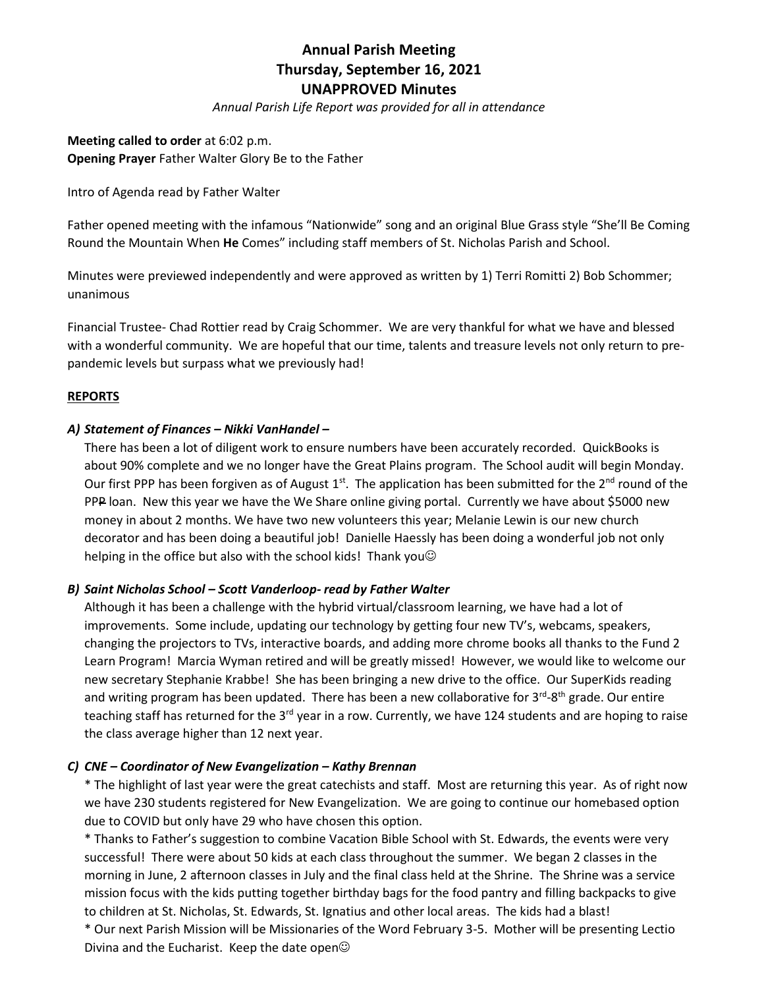# **Annual Parish Meeting Thursday, September 16, 2021 UNAPPROVED Minutes**

*Annual Parish Life Report was provided for all in attendance*

**Meeting called to order** at 6:02 p.m. **Opening Prayer** Father Walter Glory Be to the Father

Intro of Agenda read by Father Walter

Father opened meeting with the infamous "Nationwide" song and an original Blue Grass style "She'll Be Coming Round the Mountain When **He** Comes" including staff members of St. Nicholas Parish and School.

Minutes were previewed independently and were approved as written by 1) Terri Romitti 2) Bob Schommer; unanimous

Financial Trustee- Chad Rottier read by Craig Schommer. We are very thankful for what we have and blessed with a wonderful community. We are hopeful that our time, talents and treasure levels not only return to prepandemic levels but surpass what we previously had!

#### **REPORTS**

#### *A) Statement of Finances – Nikki VanHandel –*

There has been a lot of diligent work to ensure numbers have been accurately recorded. QuickBooks is about 90% complete and we no longer have the Great Plains program. The School audit will begin Monday. Our first PPP has been forgiven as of August 1<sup>st</sup>. The application has been submitted for the 2<sup>nd</sup> round of the PPP loan. New this year we have the We Share online giving portal. Currently we have about \$5000 new money in about 2 months. We have two new volunteers this year; Melanie Lewin is our new church decorator and has been doing a beautiful job! Danielle Haessly has been doing a wonderful job not only helping in the office but also with the school kids! Thank you $\odot$ 

#### *B) Saint Nicholas School – Scott Vanderloop- read by Father Walter*

Although it has been a challenge with the hybrid virtual/classroom learning, we have had a lot of improvements. Some include, updating our technology by getting four new TV's, webcams, speakers, changing the projectors to TVs, interactive boards, and adding more chrome books all thanks to the Fund 2 Learn Program! Marcia Wyman retired and will be greatly missed! However, we would like to welcome our new secretary Stephanie Krabbe! She has been bringing a new drive to the office. Our SuperKids reading and writing program has been updated. There has been a new collaborative for 3<sup>rd</sup>-8<sup>th</sup> grade. Our entire teaching staff has returned for the 3<sup>rd</sup> year in a row. Currently, we have 124 students and are hoping to raise the class average higher than 12 next year.

#### *C) CNE – Coordinator of New Evangelization – Kathy Brennan*

\* The highlight of last year were the great catechists and staff. Most are returning this year. As of right now we have 230 students registered for New Evangelization. We are going to continue our homebased option due to COVID but only have 29 who have chosen this option.

\* Thanks to Father's suggestion to combine Vacation Bible School with St. Edwards, the events were very successful! There were about 50 kids at each class throughout the summer. We began 2 classes in the morning in June, 2 afternoon classes in July and the final class held at the Shrine. The Shrine was a service mission focus with the kids putting together birthday bags for the food pantry and filling backpacks to give to children at St. Nicholas, St. Edwards, St. Ignatius and other local areas. The kids had a blast!

\* Our next Parish Mission will be Missionaries of the Word February 3-5. Mother will be presenting Lectio Divina and the Eucharist. Keep the date open $\odot$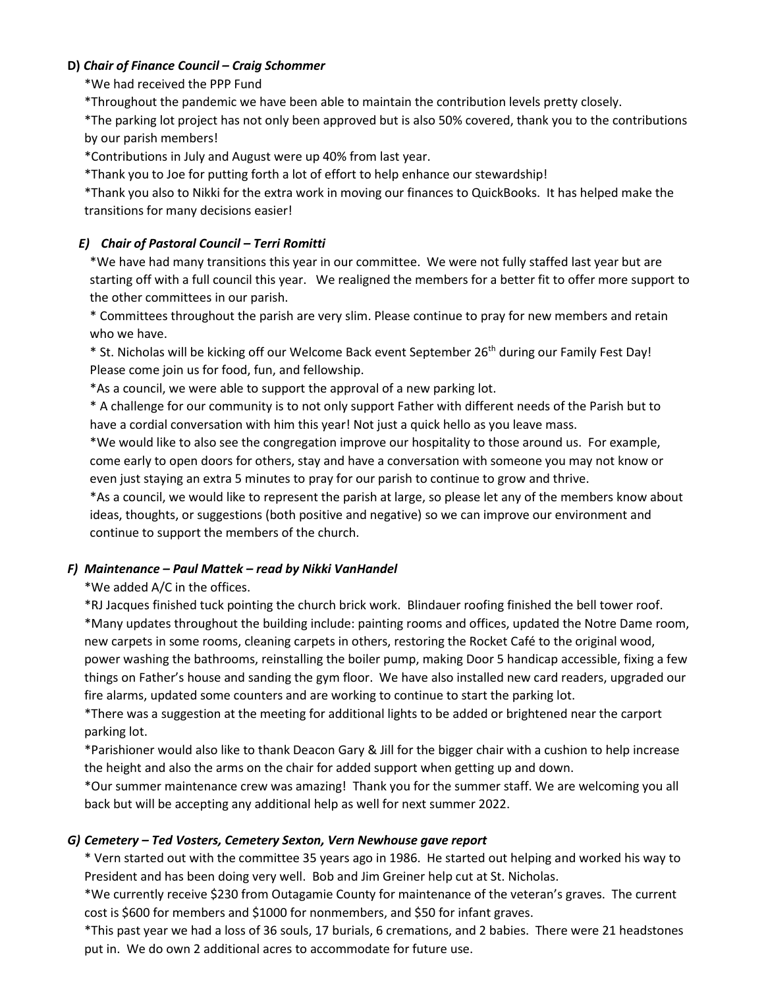#### **D)** *Chair of Finance Council – Craig Schommer*

#### \*We had received the PPP Fund

\*Throughout the pandemic we have been able to maintain the contribution levels pretty closely.

\*The parking lot project has not only been approved but is also 50% covered, thank you to the contributions by our parish members!

\*Contributions in July and August were up 40% from last year.

\*Thank you to Joe for putting forth a lot of effort to help enhance our stewardship!

\*Thank you also to Nikki for the extra work in moving our finances to QuickBooks. It has helped make the transitions for many decisions easier!

# *E) Chair of Pastoral Council – Terri Romitti*

\*We have had many transitions this year in our committee. We were not fully staffed last year but are starting off with a full council this year. We realigned the members for a better fit to offer more support to the other committees in our parish.

\* Committees throughout the parish are very slim. Please continue to pray for new members and retain who we have.

\* St. Nicholas will be kicking off our Welcome Back event September 26<sup>th</sup> during our Family Fest Day! Please come join us for food, fun, and fellowship.

\*As a council, we were able to support the approval of a new parking lot.

\* A challenge for our community is to not only support Father with different needs of the Parish but to have a cordial conversation with him this year! Not just a quick hello as you leave mass.

\*We would like to also see the congregation improve our hospitality to those around us. For example, come early to open doors for others, stay and have a conversation with someone you may not know or even just staying an extra 5 minutes to pray for our parish to continue to grow and thrive.

\*As a council, we would like to represent the parish at large, so please let any of the members know about ideas, thoughts, or suggestions (both positive and negative) so we can improve our environment and continue to support the members of the church.

# *F) Maintenance – Paul Mattek – read by Nikki VanHandel*

\*We added A/C in the offices.

\*RJ Jacques finished tuck pointing the church brick work. Blindauer roofing finished the bell tower roof. \*Many updates throughout the building include: painting rooms and offices, updated the Notre Dame room, new carpets in some rooms, cleaning carpets in others, restoring the Rocket Café to the original wood, power washing the bathrooms, reinstalling the boiler pump, making Door 5 handicap accessible, fixing a few things on Father's house and sanding the gym floor. We have also installed new card readers, upgraded our fire alarms, updated some counters and are working to continue to start the parking lot.

\*There was a suggestion at the meeting for additional lights to be added or brightened near the carport parking lot.

\*Parishioner would also like to thank Deacon Gary & Jill for the bigger chair with a cushion to help increase the height and also the arms on the chair for added support when getting up and down.

\*Our summer maintenance crew was amazing! Thank you for the summer staff. We are welcoming you all back but will be accepting any additional help as well for next summer 2022.

# *G) Cemetery – Ted Vosters, Cemetery Sexton, Vern Newhouse gave report*

\* Vern started out with the committee 35 years ago in 1986. He started out helping and worked his way to President and has been doing very well. Bob and Jim Greiner help cut at St. Nicholas.

\*We currently receive \$230 from Outagamie County for maintenance of the veteran's graves. The current cost is \$600 for members and \$1000 for nonmembers, and \$50 for infant graves.

\*This past year we had a loss of 36 souls, 17 burials, 6 cremations, and 2 babies. There were 21 headstones put in. We do own 2 additional acres to accommodate for future use.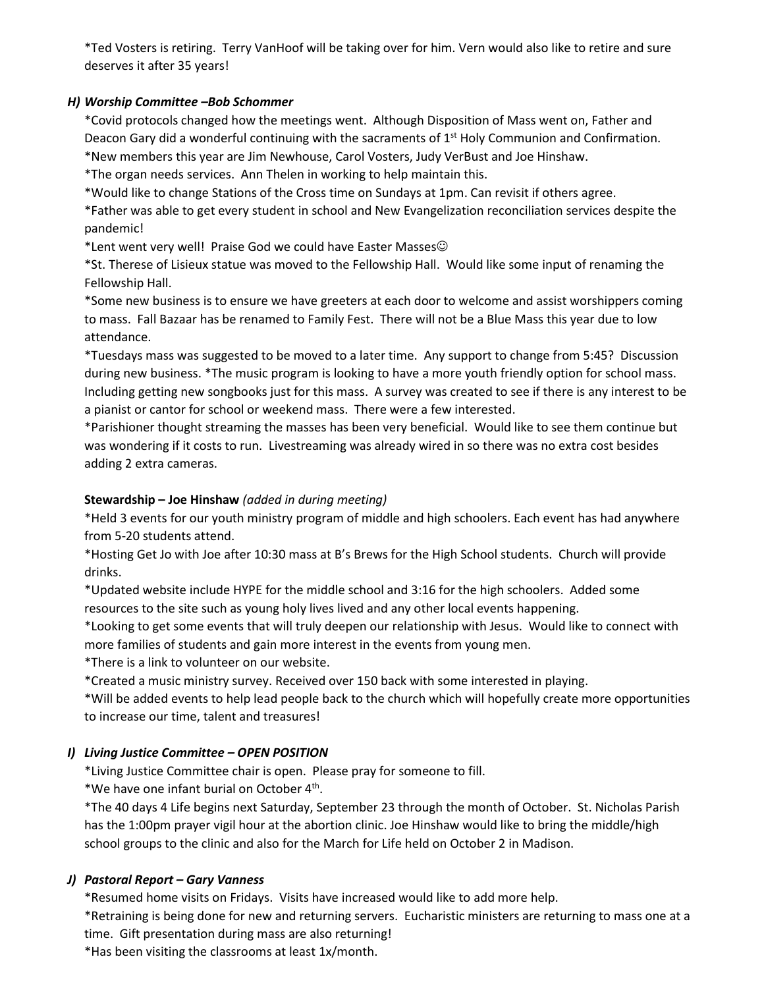\*Ted Vosters is retiring. Terry VanHoof will be taking over for him. Vern would also like to retire and sure deserves it after 35 years!

# *H) Worship Committee –Bob Schommer*

\*Covid protocols changed how the meetings went. Although Disposition of Mass went on, Father and Deacon Gary did a wonderful continuing with the sacraments of  $1<sup>st</sup>$  Holy Communion and Confirmation. \*New members this year are Jim Newhouse, Carol Vosters, Judy VerBust and Joe Hinshaw.

\*The organ needs services. Ann Thelen in working to help maintain this.

\*Would like to change Stations of the Cross time on Sundays at 1pm. Can revisit if others agree.

\*Father was able to get every student in school and New Evangelization reconciliation services despite the pandemic!

\*Lent went very well! Praise God we could have Easter Masses☺

\*St. Therese of Lisieux statue was moved to the Fellowship Hall. Would like some input of renaming the Fellowship Hall.

\*Some new business is to ensure we have greeters at each door to welcome and assist worshippers coming to mass. Fall Bazaar has be renamed to Family Fest. There will not be a Blue Mass this year due to low attendance.

\*Tuesdays mass was suggested to be moved to a later time. Any support to change from 5:45? Discussion during new business. \*The music program is looking to have a more youth friendly option for school mass. Including getting new songbooks just for this mass. A survey was created to see if there is any interest to be a pianist or cantor for school or weekend mass. There were a few interested.

\*Parishioner thought streaming the masses has been very beneficial. Would like to see them continue but was wondering if it costs to run. Livestreaming was already wired in so there was no extra cost besides adding 2 extra cameras.

#### **Stewardship – Joe Hinshaw** *(added in during meeting)*

\*Held 3 events for our youth ministry program of middle and high schoolers. Each event has had anywhere from 5-20 students attend.

\*Hosting Get Jo with Joe after 10:30 mass at B's Brews for the High School students. Church will provide drinks.

\*Updated website include HYPE for the middle school and 3:16 for the high schoolers. Added some resources to the site such as young holy lives lived and any other local events happening.

\*Looking to get some events that will truly deepen our relationship with Jesus. Would like to connect with more families of students and gain more interest in the events from young men.

\*There is a link to volunteer on our website.

\*Created a music ministry survey. Received over 150 back with some interested in playing.

\*Will be added events to help lead people back to the church which will hopefully create more opportunities to increase our time, talent and treasures!

# *I) Living Justice Committee – OPEN POSITION*

\*Living Justice Committee chair is open. Please pray for someone to fill.

\*We have one infant burial on October 4<sup>th</sup>.

\*The 40 days 4 Life begins next Saturday, September 23 through the month of October. St. Nicholas Parish has the 1:00pm prayer vigil hour at the abortion clinic. Joe Hinshaw would like to bring the middle/high school groups to the clinic and also for the March for Life held on October 2 in Madison.

#### *J) Pastoral Report – Gary Vanness*

\*Resumed home visits on Fridays. Visits have increased would like to add more help.

\*Retraining is being done for new and returning servers. Eucharistic ministers are returning to mass one at a time. Gift presentation during mass are also returning!

\*Has been visiting the classrooms at least 1x/month.